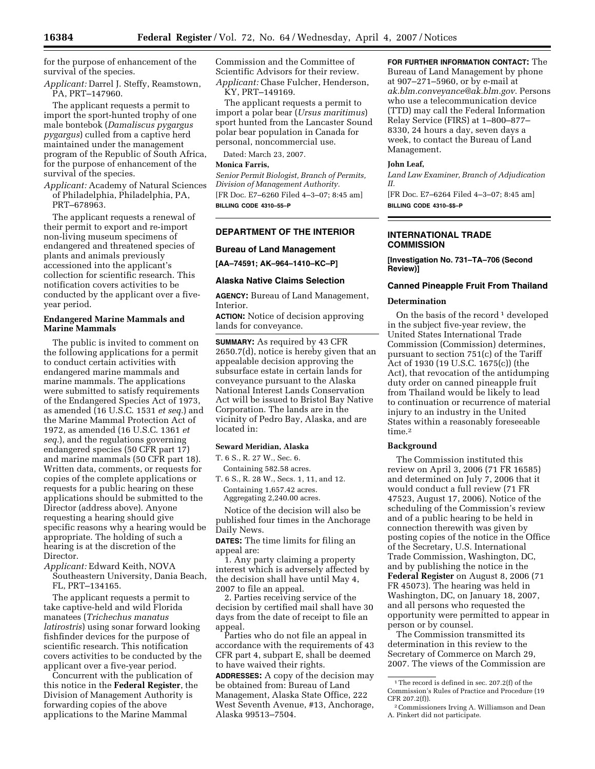for the purpose of enhancement of the survival of the species.

*Applicant:* Darrel J. Steffy, Reamstown, PA, PRT–147960.

The applicant requests a permit to import the sport-hunted trophy of one male bontebok (*Damaliscus pygargus pygargus*) culled from a captive herd maintained under the management program of the Republic of South Africa, for the purpose of enhancement of the survival of the species.

*Applicant:* Academy of Natural Sciences of Philadelphia, Philadelphia, PA, PRT–678963.

The applicant requests a renewal of their permit to export and re-import non-living museum specimens of endangered and threatened species of plants and animals previously accessioned into the applicant's collection for scientific research. This notification covers activities to be conducted by the applicant over a fiveyear period.

# **Endangered Marine Mammals and Marine Mammals**

The public is invited to comment on the following applications for a permit to conduct certain activities with endangered marine mammals and marine mammals. The applications were submitted to satisfy requirements of the Endangered Species Act of 1973, as amended (16 U.S.C. 1531 *et seq.*) and the Marine Mammal Protection Act of 1972, as amended (16 U.S.C. 1361 *et seq.*), and the regulations governing endangered species (50 CFR part 17) and marine mammals (50 CFR part 18). Written data, comments, or requests for copies of the complete applications or requests for a public hearing on these applications should be submitted to the Director (address above). Anyone requesting a hearing should give specific reasons why a hearing would be appropriate. The holding of such a hearing is at the discretion of the Director.

*Applicant:* Edward Keith, NOVA Southeastern University, Dania Beach, FL, PRT–134165.

The applicant requests a permit to take captive-held and wild Florida manatees (*Trichechus manatus latirostris*) using sonar forward looking fishfinder devices for the purpose of scientific research. This notification covers activities to be conducted by the applicant over a five-year period.

Concurrent with the publication of this notice in the **Federal Register**, the Division of Management Authority is forwarding copies of the above applications to the Marine Mammal

Commission and the Committee of Scientific Advisors for their review. *Applicant:* Chase Fulcher, Henderson, KY, PRT–149169.

The applicant requests a permit to import a polar bear (*Ursus maritimus*) sport hunted from the Lancaster Sound polar bear population in Canada for personal, noncommercial use.

Dated: March 23, 2007.

#### **Monica Farris,**

*Senior Permit Biologist, Branch of Permits, Division of Management Authority.*  [FR Doc. E7–6260 Filed 4–3–07; 8:45 am] **BILLING CODE 4310–55–P** 

# **DEPARTMENT OF THE INTERIOR**

#### **Bureau of Land Management**

**[AA–74591; AK–964–1410–KC–P]** 

#### **Alaska Native Claims Selection**

**AGENCY:** Bureau of Land Management, Interior.

**ACTION:** Notice of decision approving lands for conveyance.

**SUMMARY:** As required by 43 CFR 2650.7(d), notice is hereby given that an appealable decision approving the subsurface estate in certain lands for conveyance pursuant to the Alaska National Interest Lands Conservation Act will be issued to Bristol Bay Native Corporation. The lands are in the vicinity of Pedro Bay, Alaska, and are located in:

# **Seward Meridian, Alaska**

T. 6 S., R. 27 W., Sec. 6.

Containing 582.58 acres.

T. 6 S., R. 28 W., Secs. 1, 11, and 12. Containing 1,657.42 acres. Aggregating 2,240.00 acres.

Notice of the decision will also be published four times in the Anchorage Daily News.

**DATES:** The time limits for filing an appeal are:

1. Any party claiming a property interest which is adversely affected by the decision shall have until May 4, 2007 to file an appeal.

2. Parties receiving service of the decision by certified mail shall have 30 days from the date of receipt to file an appeal.

Parties who do not file an appeal in accordance with the requirements of 43 CFR part 4, subpart E, shall be deemed to have waived their rights.

**ADDRESSES:** A copy of the decision may be obtained from: Bureau of Land Management, Alaska State Office, 222 West Seventh Avenue, #13, Anchorage, Alaska 99513–7504.

**FOR FURTHER INFORMATION CONTACT:** The Bureau of Land Management by phone at 907–271–5960, or by e-mail at *ak.blm.conveyance@ak.blm.gov.* Persons who use a telecommunication device (TTD) may call the Federal Information Relay Service (FIRS) at 1–800–877– 8330, 24 hours a day, seven days a week, to contact the Bureau of Land Management.

# **John Leaf,**

*Land Law Examiner, Branch of Adjudication II.* 

[FR Doc. E7–6264 Filed 4–3–07; 8:45 am] **BILLING CODE 4310–\$\$–P** 

# **INTERNATIONAL TRADE COMMISSION**

**[Investigation No. 731–TA–706 (Second Review)]** 

## **Canned Pineapple Fruit From Thailand**

#### **Determination**

On the basis of the record<sup>1</sup> developed in the subject five-year review, the United States International Trade Commission (Commission) determines, pursuant to section 751(c) of the Tariff Act of 1930 (19 U.S.C. 1675(c)) (the Act), that revocation of the antidumping duty order on canned pineapple fruit from Thailand would be likely to lead to continuation or recurrence of material injury to an industry in the United States within a reasonably foreseeable time.2

# **Background**

The Commission instituted this review on April 3, 2006 (71 FR 16585) and determined on July 7, 2006 that it would conduct a full review (71 FR 47523, August 17, 2006). Notice of the scheduling of the Commission's review and of a public hearing to be held in connection therewith was given by posting copies of the notice in the Office of the Secretary, U.S. International Trade Commission, Washington, DC, and by publishing the notice in the **Federal Register** on August 8, 2006 (71 FR 45073). The hearing was held in Washington, DC, on January 18, 2007, and all persons who requested the opportunity were permitted to appear in person or by counsel.

The Commission transmitted its determination in this review to the Secretary of Commerce on March 29, 2007. The views of the Commission are

<sup>1</sup>The record is defined in sec. 207.2(f) of the Commission's Rules of Practice and Procedure (19 CFR 207.2(f)).

<sup>2</sup>Commissioners Irving A. Williamson and Dean A. Pinkert did not participate.